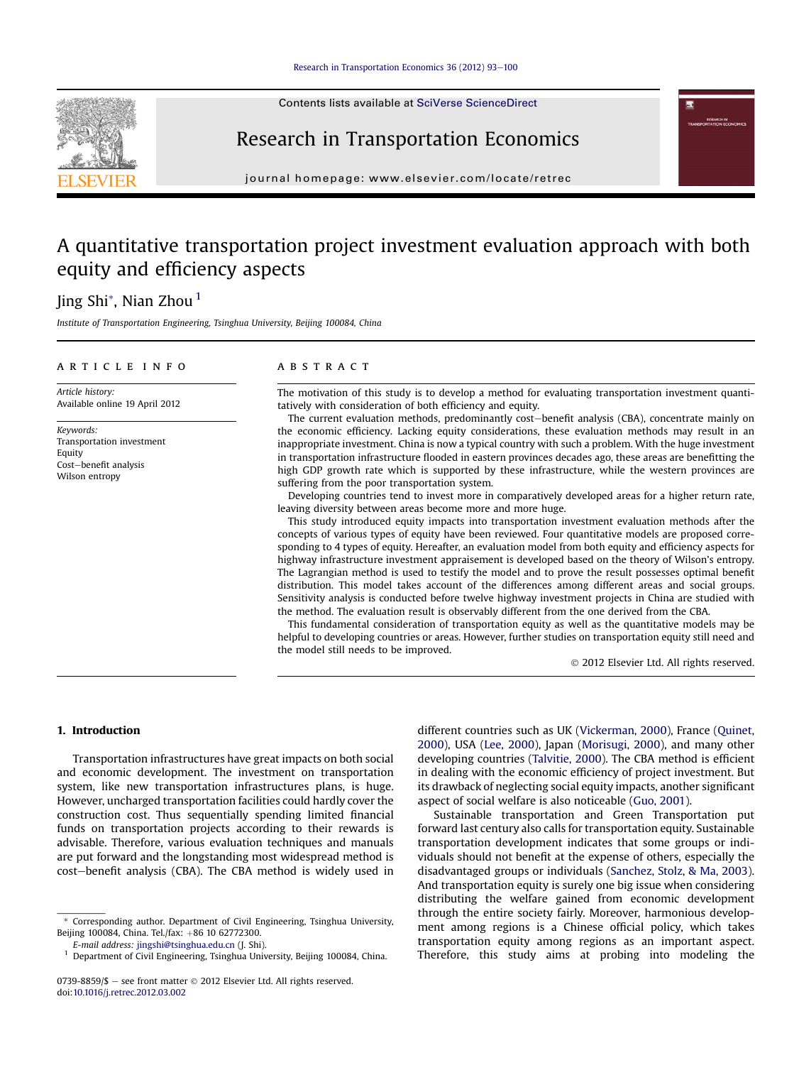Contents lists available at SciVerse ScienceDirect



### Research in Transportation Economics

journal homepage: [www.elsevier.com/locate/retrec](http://www.elsevier.com/locate/retrec)

## A quantitative transportation project investment evaluation approach with both equity and efficiency aspects

### Jing Shi\*, Nian Zhou <sup>1</sup>

Institute of Transportation Engineering, Tsinghua University, Beijing 100084, China

#### article info

Article history: Available online 19 April 2012

Keywords: Transportation investment Equity Cost-benefit analysis Wilson entropy

#### **ABSTRACT**

The motivation of this study is to develop a method for evaluating transportation investment quantitatively with consideration of both efficiency and equity.

The current evaluation methods, predominantly cost-benefit analysis (CBA), concentrate mainly on the economic efficiency. Lacking equity considerations, these evaluation methods may result in an inappropriate investment. China is now a typical country with such a problem. With the huge investment in transportation infrastructure flooded in eastern provinces decades ago, these areas are benefitting the high GDP growth rate which is supported by these infrastructure, while the western provinces are suffering from the poor transportation system.

Developing countries tend to invest more in comparatively developed areas for a higher return rate, leaving diversity between areas become more and more huge.

This study introduced equity impacts into transportation investment evaluation methods after the concepts of various types of equity have been reviewed. Four quantitative models are proposed corresponding to 4 types of equity. Hereafter, an evaluation model from both equity and efficiency aspects for highway infrastructure investment appraisement is developed based on the theory of Wilson's entropy. The Lagrangian method is used to testify the model and to prove the result possesses optimal benefit distribution. This model takes account of the differences among different areas and social groups. Sensitivity analysis is conducted before twelve highway investment projects in China are studied with the method. The evaluation result is observably different from the one derived from the CBA.

This fundamental consideration of transportation equity as well as the quantitative models may be helpful to developing countries or areas. However, further studies on transportation equity still need and the model still needs to be improved.

2012 Elsevier Ltd. All rights reserved.

#### 1. Introduction

Transportation infrastructures have great impacts on both social and economic development. The investment on transportation system, like new transportation infrastructures plans, is huge. However, uncharged transportation facilities could hardly cover the construction cost. Thus sequentially spending limited financial funds on transportation projects according to their rewards is advisable. Therefore, various evaluation techniques and manuals are put forward and the longstanding most widespread method is cost-benefit analysis (CBA). The CBA method is widely used in

E-mail address: [jingshi@tsinghua.edu.cn](mailto:jingshi@tsinghua.edu.cn) (J. Shi).

different countries such as UK [\(Vickerman, 2000](#page--1-0)), France [\(Quinet,](#page--1-0) [2000\)](#page--1-0), USA [\(Lee, 2000\)](#page--1-0), Japan ([Morisugi, 2000](#page--1-0)), and many other developing countries [\(Talvitie, 2000\)](#page--1-0). The CBA method is efficient in dealing with the economic efficiency of project investment. But its drawback of neglecting social equity impacts, another significant aspect of social welfare is also noticeable [\(Guo, 2001](#page--1-0)).

Sustainable transportation and Green Transportation put forward last century also calls for transportation equity. Sustainable transportation development indicates that some groups or individuals should not benefit at the expense of others, especially the disadvantaged groups or individuals [\(Sanchez, Stolz, & Ma, 2003\)](#page--1-0). And transportation equity is surely one big issue when considering distributing the welfare gained from economic development through the entire society fairly. Moreover, harmonious development among regions is a Chinese official policy, which takes transportation equity among regions as an important aspect. Therefore, this study aims at probing into modeling the

<sup>\*</sup> Corresponding author. Department of Civil Engineering, Tsinghua University, Beijing 100084, China. Tel./fax: +86 10 62772300.

<sup>&</sup>lt;sup>1</sup> Department of Civil Engineering, Tsinghua University, Beijing 100084, China.

<sup>0739-8859/\$ -</sup> see front matter  $\odot$  2012 Elsevier Ltd. All rights reserved. doi[:10.1016/j.retrec.2012.03.002](http://dx.doi.org/10.1016/j.retrec.2012.03.002)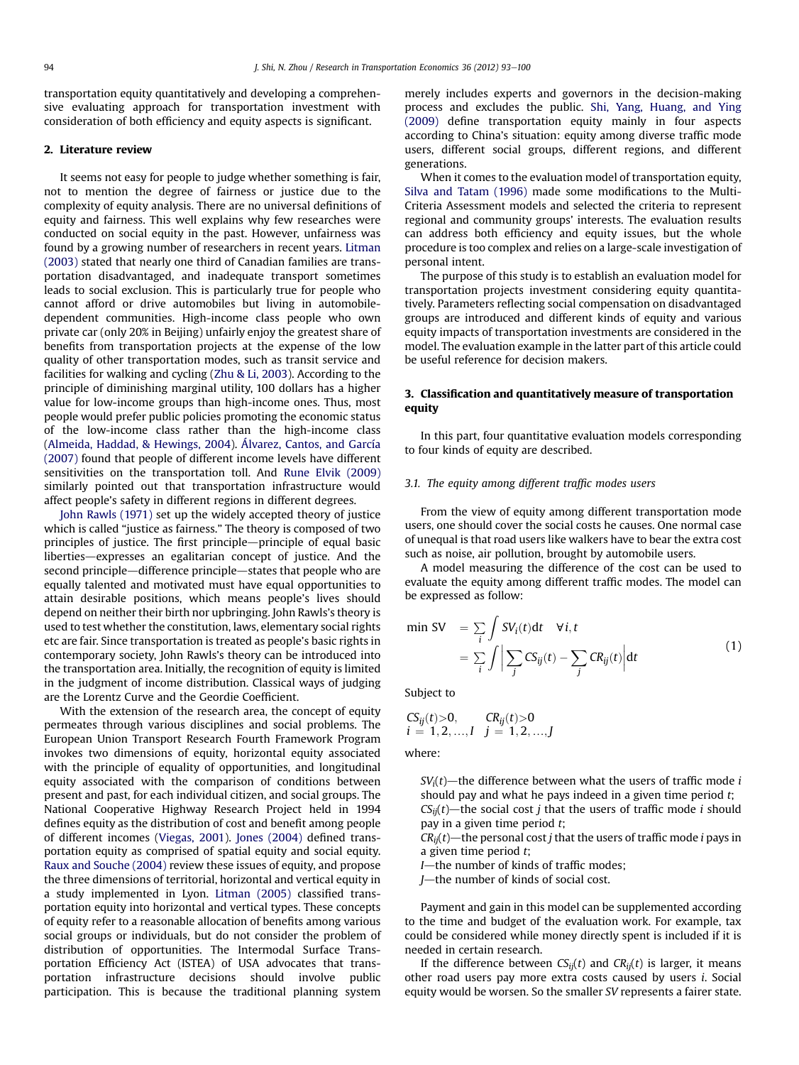transportation equity quantitatively and developing a comprehensive evaluating approach for transportation investment with consideration of both efficiency and equity aspects is significant.

#### 2. Literature review

It seems not easy for people to judge whether something is fair, not to mention the degree of fairness or justice due to the complexity of equity analysis. There are no universal definitions of equity and fairness. This well explains why few researches were conducted on social equity in the past. However, unfairness was found by a growing number of researchers in recent years. [Litman](#page--1-0) [\(2003\)](#page--1-0) stated that nearly one third of Canadian families are transportation disadvantaged, and inadequate transport sometimes leads to social exclusion. This is particularly true for people who cannot afford or drive automobiles but living in automobiledependent communities. High-income class people who own private car (only 20% in Beijing) unfairly enjoy the greatest share of benefits from transportation projects at the expense of the low quality of other transportation modes, such as transit service and facilities for walking and cycling ([Zhu & Li, 2003](#page--1-0)). According to the principle of diminishing marginal utility, 100 dollars has a higher value for low-income groups than high-income ones. Thus, most people would prefer public policies promoting the economic status of the low-income class rather than the high-income class ([Almeida, Haddad, & Hewings, 2004](#page--1-0)). [Álvarez, Cantos, and García](#page--1-0) [\(2007\)](#page--1-0) found that people of different income levels have different sensitivities on the transportation toll. And [Rune Elvik \(2009\)](#page--1-0) similarly pointed out that transportation infrastructure would affect people's safety in different regions in different degrees.

[John Rawls \(1971\)](#page--1-0) set up the widely accepted theory of justice which is called "justice as fairness." The theory is composed of two principles of justice. The first principle—principle of equal basic liberties-expresses an egalitarian concept of justice. And the second principle—difference principle—states that people who are equally talented and motivated must have equal opportunities to attain desirable positions, which means people's lives should depend on neither their birth nor upbringing. John Rawls's theory is used to test whether the constitution, laws, elementary social rights etc are fair. Since transportation is treated as people's basic rights in contemporary society, John Rawls's theory can be introduced into the transportation area. Initially, the recognition of equity is limited in the judgment of income distribution. Classical ways of judging are the Lorentz Curve and the Geordie Coefficient.

With the extension of the research area, the concept of equity permeates through various disciplines and social problems. The European Union Transport Research Fourth Framework Program invokes two dimensions of equity, horizontal equity associated with the principle of equality of opportunities, and longitudinal equity associated with the comparison of conditions between present and past, for each individual citizen, and social groups. The National Cooperative Highway Research Project held in 1994 defines equity as the distribution of cost and benefit among people of different incomes [\(Viegas, 2001\)](#page--1-0). Jones [\(2004\)](#page--1-0) defined transportation equity as comprised of spatial equity and social equity. [Raux and Souche \(2004\)](#page--1-0) review these issues of equity, and propose the three dimensions of territorial, horizontal and vertical equity in a study implemented in Lyon. [Litman \(2005\)](#page--1-0) classified transportation equity into horizontal and vertical types. These concepts of equity refer to a reasonable allocation of benefits among various social groups or individuals, but do not consider the problem of distribution of opportunities. The Intermodal Surface Transportation Efficiency Act (ISTEA) of USA advocates that transportation infrastructure decisions should involve public participation. This is because the traditional planning system merely includes experts and governors in the decision-making process and excludes the public. [Shi, Yang, Huang, and Ying](#page--1-0) [\(2009\)](#page--1-0) define transportation equity mainly in four aspects according to China's situation: equity among diverse traffic mode users, different social groups, different regions, and different generations.

When it comes to the evaluation model of transportation equity, [Silva and Tatam \(1996\)](#page--1-0) made some modifications to the Multi-Criteria Assessment models and selected the criteria to represent regional and community groups' interests. The evaluation results can address both efficiency and equity issues, but the whole procedure is too complex and relies on a large-scale investigation of personal intent.

The purpose of this study is to establish an evaluation model for transportation projects investment considering equity quantitatively. Parameters reflecting social compensation on disadvantaged groups are introduced and different kinds of equity and various equity impacts of transportation investments are considered in the model. The evaluation example in the latter part of this article could be useful reference for decision makers.

#### 3. Classification and quantitatively measure of transportation equity

In this part, four quantitative evaluation models corresponding to four kinds of equity are described.

#### 3.1. The equity among different traffic modes users

From the view of equity among different transportation mode users, one should cover the social costs he causes. One normal case of unequal is that road users like walkers have to bear the extra cost such as noise, air pollution, brought by automobile users.

A model measuring the difference of the cost can be used to evaluate the equity among different traffic modes. The model can be expressed as follow:

$$
\begin{aligned}\n\min \text{SV} &= \sum_{i} \int \text{SV}_{i}(t) \, \text{d}t \quad \forall i, t \\
&= \sum_{i} \int \left| \sum_{j} \text{CS}_{ij}(t) - \sum_{j} \text{CR}_{ij}(t) \right| \, \text{d}t\n\end{aligned} \tag{1}
$$

Subject to

$$
\begin{array}{ll}\nCS_{ij}(t) > 0, & CR_{ij}(t) > 0 \\
i = 1, 2, \ldots, I \quad j = 1, 2, \ldots, J\n\end{array}
$$

where:

 $SV_i(t)$ —the difference between what the users of traffic mode *i* should pay and what he pays indeed in a given time period t;  $CS_{ii}(t)$ —the social cost j that the users of traffic mode i should pay in a given time period t;

 $CR_{ij}(t)$ —the personal cost *j* that the users of traffic mode *i* pays in a given time period  $t$ ;

 $I$ —the number of kinds of traffic modes;

 $J$ —the number of kinds of social cost.

Payment and gain in this model can be supplemented according to the time and budget of the evaluation work. For example, tax could be considered while money directly spent is included if it is needed in certain research.

If the difference between  $CS_{ij}(t)$  and  $CR_{ij}(t)$  is larger, it means other road users pay more extra costs caused by users i. Social equity would be worsen. So the smaller SV represents a fairer state.